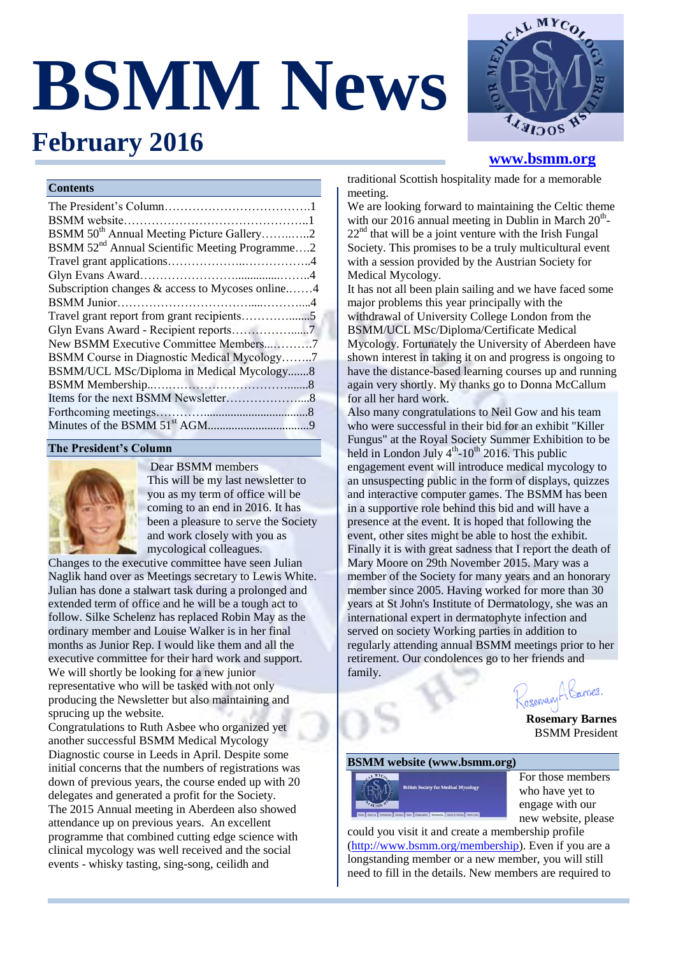# **BSMM News**



# **[www.bsmm.org](file:///C:/Users/Louise/BSMM%20stuff/BSMM%20Newsletters/BSMM%20Newsletter_Feb_2014/www.bsmm.org)**

#### **Contents**

**February 2016** 

| BSMM 50 <sup>th</sup> Annual Meeting Picture Gallery2      |  |
|------------------------------------------------------------|--|
| BSMM 52 <sup>nd</sup> Annual Scientific Meeting Programme2 |  |
|                                                            |  |
|                                                            |  |
| Subscription changes & access to Mycoses online4           |  |
|                                                            |  |
|                                                            |  |
| Glyn Evans Award - Recipient reports7                      |  |
| New BSMM Executive Committee Members7                      |  |
| BSMM Course in Diagnostic Medical Mycology7                |  |
| BSMM/UCL MSc/Diploma in Medical Mycology8                  |  |
|                                                            |  |
|                                                            |  |
|                                                            |  |
|                                                            |  |
|                                                            |  |

#### **The President's Column**



Dear BSMM members This will be my last newsletter to you as my term of office will be coming to an end in 2016. It has been a pleasure to serve the Society and work closely with you as mycological colleagues.

Changes to the executive committee have seen Julian Naglik hand over as Meetings secretary to Lewis White. Julian has done a stalwart task during a prolonged and extended term of office and he will be a tough act to follow. Silke Schelenz has replaced Robin May as the ordinary member and Louise Walker is in her final months as Junior Rep. I would like them and all the executive committee for their hard work and support. We will shortly be looking for a new junior representative who will be tasked with not only producing the Newsletter but also maintaining and sprucing up the website.

Congratulations to Ruth Asbee who organized yet another successful BSMM Medical Mycology Diagnostic course in Leeds in April. Despite some initial concerns that the numbers of registrations was down of previous years, the course ended up with 20 delegates and generated a profit for the Society. The 2015 Annual meeting in Aberdeen also showed attendance up on previous years. An excellent programme that combined cutting edge science with clinical mycology was well received and the social events - whisky tasting, sing-song, ceilidh and

traditional Scottish hospitality made for a memorable meeting.

We are looking forward to maintaining the Celtic theme with our 2016 annual meeting in Dublin in March  $20<sup>th</sup>$ - $22<sup>nd</sup>$  that will be a joint venture with the Irish Fungal Society. This promises to be a truly multicultural event with a session provided by the Austrian Society for Medical Mycology.

It has not all been plain sailing and we have faced some major problems this year principally with the withdrawal of University College London from the BSMM/UCL MSc/Diploma/Certificate Medical Mycology. Fortunately the University of Aberdeen have shown interest in taking it on and progress is ongoing to have the distance-based learning courses up and running again very shortly. My thanks go to Donna McCallum for all her hard work.

Also many congratulations to Neil Gow and his team who were successful in their bid for an exhibit "Killer Fungus" at the Royal Society Summer Exhibition to be held in London July  $4<sup>th</sup>$ -10<sup>th</sup> 2016. This public engagement event will introduce medical mycology to an unsuspecting public in the form of displays, quizzes and interactive computer games. The BSMM has been in a supportive role behind this bid and will have a presence at the event. It is hoped that following the event, other sites might be able to host the exhibit. Finally it is with great sadness that I report the death of Mary Moore on 29th November 2015. Mary was a member of the Society for many years and an honorary member since 2005. Having worked for more than 30 years at St John's Institute of Dermatology, she was an international expert in dermatophyte infection and served on society Working parties in addition to regularly attending annual BSMM meetings prior to her retirement. Our condolences go to her friends and family.

Zosemary A Karnes.

 **Rosemary Barnes** BSMM President

#### **BSMM website (www.bsmm.org)**



For those members who have yet to engage with our new website, please

could you visit it and create a membership profile [\(http://www.bsmm.org/membership\)](http://www.bsmm.org/membership). Even if you are a longstanding member or a new member, you will still need to fill in the details. New members are required to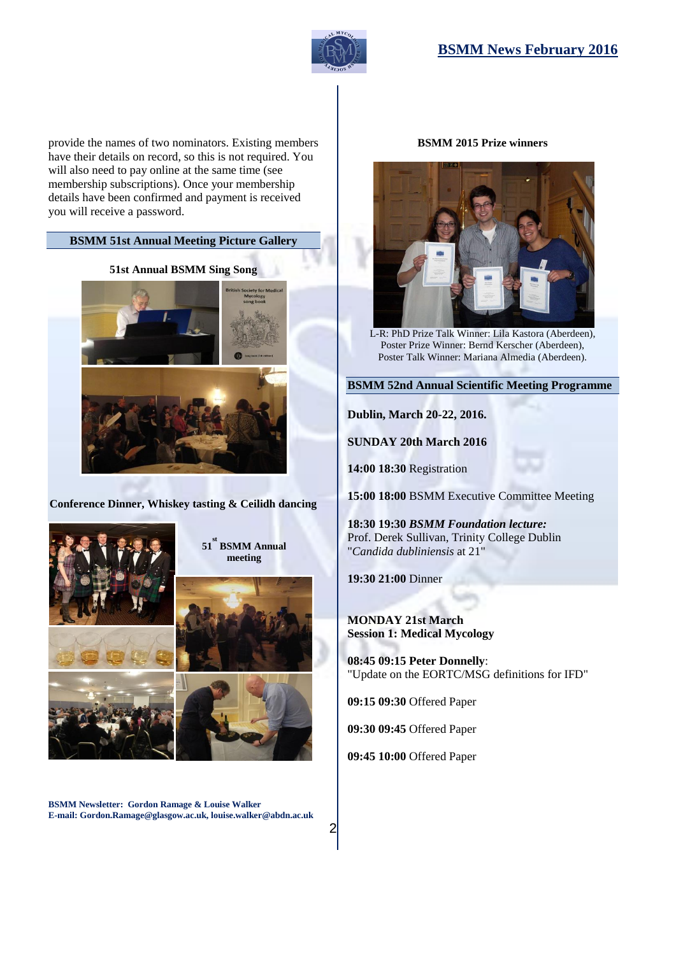# **BSMM News February 2016**



provide the names of two nominators. Existing members have their details on record, so this is not required. You will also need to pay online at the same time (see membership subscriptions). Once your membership details have been confirmed and payment is received you will receive a password.

#### **BSMM 51st Annual Meeting Picture Gallery**

#### **51st Annual BSMM Sing Song**



**Conference Dinner, Whiskey tasting & Ceilidh dancing**



**51 st BSMM Annual meeting**



**BSMM Newsletter: Gordon Ramage & Louise Walker E-mail: Gordon.Ramage@glasgow.ac.uk, louise.walker@abdn.ac.uk**

#### **BSMM 2015 Prize winners**



L-R: PhD Prize Talk Winner: Lila Kastora (Aberdeen), Poster Prize Winner: Bernd Kerscher (Aberdeen), Poster Talk Winner: Mariana Almedia (Aberdeen).

**BSMM 52nd Annual Scientific Meeting Programme**

**Dublin, March 20-22, 2016.** 

**SUNDAY 20th March 2016**

**14:00 18:30** Registration

**15:00 18:00** BSMM Executive Committee Meeting

**18:30 19:30** *BSMM Foundation lecture:* Prof. Derek Sullivan, Trinity College Dublin "*Candida dubliniensis* at 21"

**19:30 21:00** Dinner

**MONDAY 21st March Session 1: Medical Mycology**

**08:45 09:15 Peter Donnelly**: "Update on the EORTC/MSG definitions for IFD"

**09:15 09:30** Offered Paper

**09:30 09:45** Offered Paper

**09:45 10:00** Offered Paper

 $\overline{2}$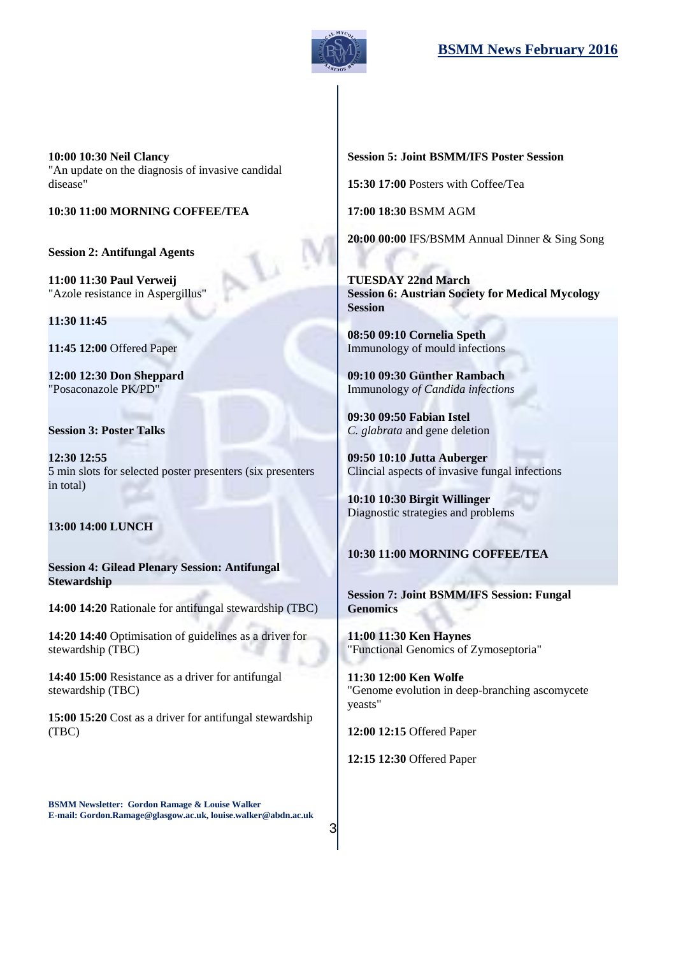

**10:00 10:30 Neil Clancy** "An update on the diagnosis of invasive candidal disease"

### **10:30 11:00 MORNING COFFEE/TEA**

**Session 2: Antifungal Agents**

**11:00 11:30 Paul Verweij** "Azole resistance in Aspergillus"

**11:30 11:45**

**11:45 12:00** Offered Paper

**12:00 12:30 Don Sheppard** "Posaconazole PK/PD"

#### **Session 3: Poster Talks**

**12:30 12:55** 5 min slots for selected poster presenters (six presenters in total)

#### **13:00 14:00 LUNCH**

**Session 4: Gilead Plenary Session: Antifungal Stewardship**

**14:00 14:20** Rationale for antifungal stewardship (TBC)

**14:20 14:40** Optimisation of guidelines as a driver for stewardship (TBC)

**14:40 15:00** Resistance as a driver for antifungal stewardship (TBC)

**15:00 15:20** Cost as a driver for antifungal stewardship (TBC)

**Session 5: Joint BSMM/IFS Poster Session**

**15:30 17:00** Posters with Coffee/Tea

**17:00 18:30** BSMM AGM

**20:00 00:00** IFS/BSMM Annual Dinner & Sing Song

**TUESDAY 22nd March Session 6: Austrian Society for Medical Mycology Session**

**08:50 09:10 Cornelia Speth** Immunology of mould infections

**09:10 09:30 Günther Rambach** Immunology *of Candida infections*

**09:30 09:50 Fabian Istel** *C. glabrata* and gene deletion

**09:50 10:10 Jutta Auberger** Clincial aspects of invasive fungal infections

**10:10 10:30 Birgit Willinger** Diagnostic strategies and problems

# **10:30 11:00 MORNING COFFEE/TEA**

**Session 7: Joint BSMM/IFS Session: Fungal Genomics**

**11:00 11:30 Ken Haynes** "Functional Genomics of Zymoseptoria"

**11:30 12:00 Ken Wolfe** "Genome evolution in deep-branching ascomycete yeasts"

**12:00 12:15** Offered Paper

**12:15 12:30** Offered Paper

**BSMM Newsletter: Gordon Ramage & Louise Walker E-mail: Gordon.Ramage@glasgow.ac.uk, louise.walker@abdn.ac.uk**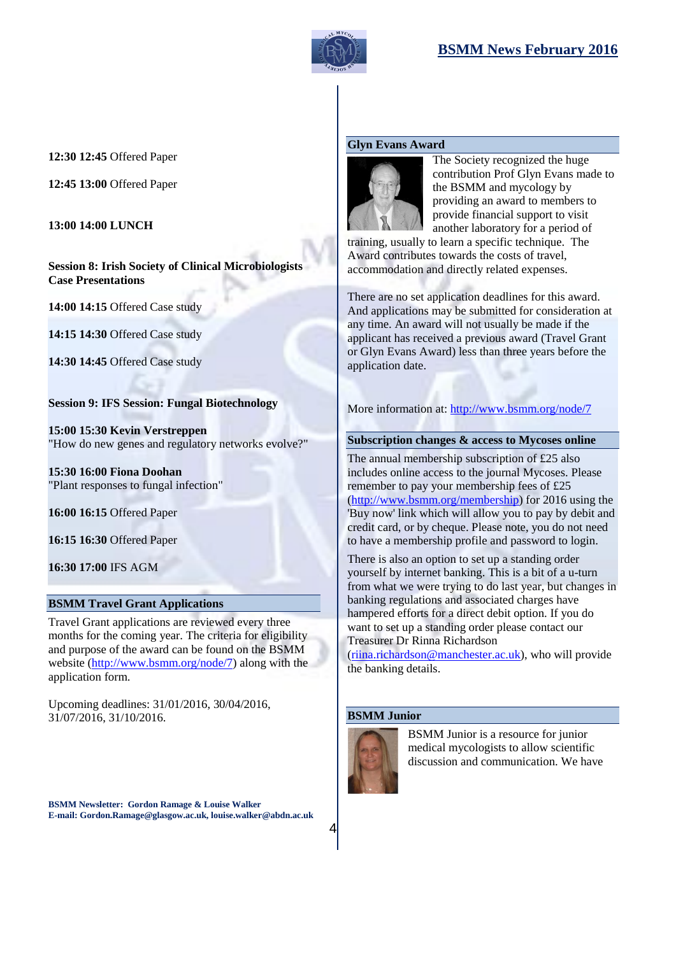

#### **12:30 12:45** Offered Paper

**12:45 13:00** Offered Paper

**13:00 14:00 LUNCH**

**Session 8: Irish Society of Clinical Microbiologists Case Presentations**

**14:00 14:15** Offered Case study

**14:15 14:30** Offered Case study

**14:30 14:45** Offered Case study

# **Session 9: IFS Session: Fungal Biotechnology**

**15:00 15:30 Kevin Verstreppen** "How do new genes and regulatory networks evolve?"

**15:30 16:00 Fiona Doohan** "Plant responses to fungal infection"

**16:00 16:15** Offered Paper

**16:15 16:30** Offered Paper

**16:30 17:00** IFS AGM

## **BSMM Travel Grant Applications**

Travel Grant applications are reviewed every three months for the coming year. The criteria for eligibility and purpose of the award can be found on the BSMM website [\(http://www.bsmm.org/node/7\)](http://www.bsmm.org/node/7) along with the application form.

Upcoming deadlines: 31/01/2016, 30/04/2016, 31/07/2016, 31/10/2016.

**BSMM Newsletter: Gordon Ramage & Louise Walker E-mail: Gordon.Ramage@glasgow.ac.uk, louise.walker@abdn.ac.uk**

#### **Glyn Evans Award**



The Society recognized the huge contribution Prof Glyn Evans made to the BSMM and mycology by providing an award to members to provide financial support to visit another laboratory for a period of

training, usually to learn a specific technique. The Award contributes towards the costs of travel, accommodation and directly related expenses.

There are no set application deadlines for this award. And applications may be submitted for consideration at any time. An award will not usually be made if the applicant has received a previous award (Travel Grant or Glyn Evans Award) less than three years before the application date.

More information at:<http://www.bsmm.org/node/7>

#### **Subscription changes & access to Mycoses online**

The annual membership subscription of £25 also includes online access to the journal Mycoses. Please remember to pay your membership fees of £25 [\(http://www.bsmm.org/membership\)](http://www.bsmm.org/membership) for 2016 using the 'Buy now' link which will allow you to pay by debit and credit card, or by cheque. Please note, you do not need to have a membership profile and password to login.

There is also an option to set up a standing order yourself by internet banking. This is a bit of a u-turn from what we were trying to do last year, but changes in banking regulations and associated charges have hampered efforts for a direct debit option. If you do want to set up a standing order please contact our Treasurer Dr Rinna Richardson

[\(riina.richardson@manchester.ac.uk\)](mailto:riina.richardson@manchester.ac.uk), who will provide the banking details.

## **BSMM Junior**



BSMM Junior is a resource for junior medical mycologists to allow scientific discussion and communication. We have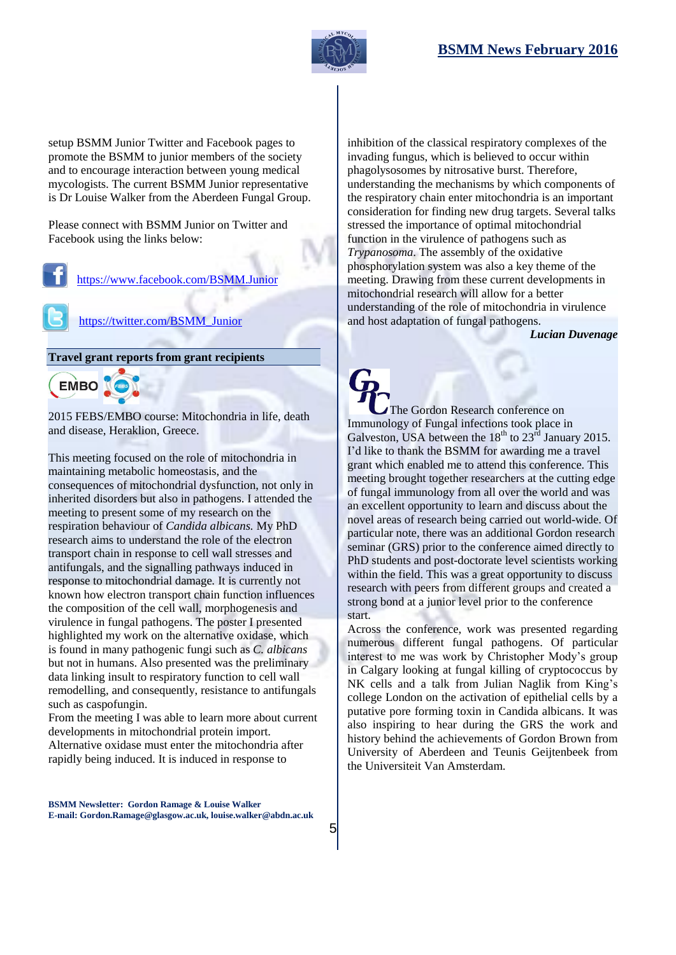

setup BSMM Junior Twitter and Facebook pages to promote the BSMM to junior members of the society and to encourage interaction between young medical mycologists. The current BSMM Junior representative is Dr Louise Walker from the Aberdeen Fungal Group.

Please connect with BSMM Junior on Twitter and Facebook using the links below:

#### <https://www.facebook.com/BSMM.Junior>

[https://twitter.com/BSMM\\_Junior](https://twitter.com/BSMM_Junior)

**Travel grant reports from grant recipients**



2015 FEBS/EMBO course: Mitochondria in life, death and disease, Heraklion, Greece.

This meeting focused on the role of mitochondria in maintaining metabolic homeostasis, and the consequences of mitochondrial dysfunction, not only in inherited disorders but also in pathogens. I attended the meeting to present some of my research on the respiration behaviour of *Candida albicans.* My PhD research aims to understand the role of the electron transport chain in response to cell wall stresses and antifungals, and the signalling pathways induced in response to mitochondrial damage*.* It is currently not known how electron transport chain function influences the composition of the cell wall, morphogenesis and virulence in fungal pathogens. The poster I presented highlighted my work on the alternative oxidase, which is found in many pathogenic fungi such as *C. albicans* but not in humans. Also presented was the preliminary data linking insult to respiratory function to cell wall remodelling, and consequently, resistance to antifungals such as caspofungin.

From the meeting I was able to learn more about current developments in mitochondrial protein import. Alternative oxidase must enter the mitochondria after rapidly being induced. It is induced in response to

**BSMM Newsletter: Gordon Ramage & Louise Walker E-mail: Gordon.Ramage@glasgow.ac.uk, louise.walker@abdn.ac.uk**

5

inhibition of the classical respiratory complexes of the invading fungus, which is believed to occur within phagolysosomes by nitrosative burst. Therefore, understanding the mechanisms by which components of the respiratory chain enter mitochondria is an important consideration for finding new drug targets. Several talks stressed the importance of optimal mitochondrial function in the virulence of pathogens such as *Trypanosoma*. The assembly of the oxidative phosphorylation system was also a key theme of the meeting. Drawing from these current developments in mitochondrial research will allow for a better understanding of the role of mitochondria in virulence and host adaptation of fungal pathogens.

*Lucian Duvenage*

The Gordon Research conference on Immunology of Fungal infections took place in Galveston, USA between the  $18<sup>th</sup>$  to  $23<sup>rd</sup>$  January 2015. I'd like to thank the BSMM for awarding me a travel grant which enabled me to attend this conference. This meeting brought together researchers at the cutting edge of fungal immunology from all over the world and was an excellent opportunity to learn and discuss about the novel areas of research being carried out world-wide. Of particular note, there was an additional Gordon research seminar (GRS) prior to the conference aimed directly to PhD students and post-doctorate level scientists working within the field. This was a great opportunity to discuss research with peers from different groups and created a strong bond at a junior level prior to the conference start.

Across the conference, work was presented regarding numerous different fungal pathogens. Of particular interest to me was work by Christopher Mody's group in Calgary looking at fungal killing of cryptococcus by NK cells and a talk from Julian Naglik from King's college London on the activation of epithelial cells by a putative pore forming toxin in Candida albicans. It was also inspiring to hear during the GRS the work and history behind the achievements of Gordon Brown from University of Aberdeen and Teunis Geijtenbeek from the Universiteit Van Amsterdam.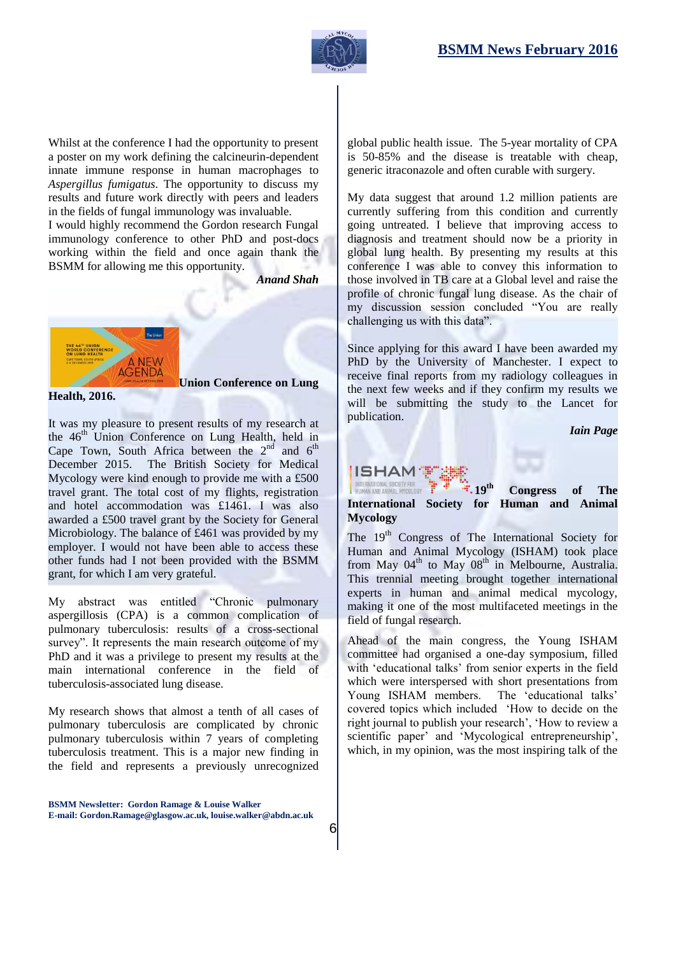

Whilst at the conference I had the opportunity to present a poster on my work defining the calcineurin-dependent innate immune response in human macrophages to *Aspergillus fumigatus*. The opportunity to discuss my results and future work directly with peers and leaders in the fields of fungal immunology was invaluable.

I would highly recommend the Gordon research Fungal immunology conference to other PhD and post-docs working within the field and once again thank the BSMM for allowing me this opportunity.

*Anand Shah*



**Health, 2016.**

**Union Conference on Lung** 

It was my pleasure to present results of my research at the  $46<sup>th</sup>$  Union Conference on Lung Health, held in Cape Town, South Africa between the  $2<sup>nd</sup>$  and  $6<sup>th</sup>$ December 2015. The British Society for Medical Mycology were kind enough to provide me with a £500 travel grant. The total cost of my flights, registration and hotel accommodation was £1461. I was also awarded a £500 travel grant by the Society for General Microbiology. The balance of £461 was provided by my employer. I would not have been able to access these other funds had I not been provided with the BSMM grant, for which I am very grateful.

My abstract was entitled "Chronic pulmonary aspergillosis (CPA) is a common complication of pulmonary tuberculosis: results of a cross-sectional survey". It represents the main research outcome of my PhD and it was a privilege to present my results at the main international conference in the field of tuberculosis-associated lung disease.

My research shows that almost a tenth of all cases of pulmonary tuberculosis are complicated by chronic pulmonary tuberculosis within 7 years of completing tuberculosis treatment. This is a major new finding in the field and represents a previously unrecognized

**BSMM Newsletter: Gordon Ramage & Louise Walker E-mail: Gordon.Ramage@glasgow.ac.uk, louise.walker@abdn.ac.uk**

6

global public health issue. The 5-year mortality of CPA is 50-85% and the disease is treatable with cheap, generic itraconazole and often curable with surgery.

My data suggest that around 1.2 million patients are currently suffering from this condition and currently going untreated. I believe that improving access to diagnosis and treatment should now be a priority in global lung health. By presenting my results at this conference I was able to convey this information to those involved in TB care at a Global level and raise the profile of chronic fungal lung disease. As the chair of my discussion session concluded "You are really challenging us with this data".

Since applying for this award I have been awarded my PhD by the University of Manchester. I expect to receive final reports from my radiology colleagues in the next few weeks and if they confirm my results we will be submitting the study to the Lancet for publication.

*Iain Page*

# **ISHAM**

INTERNATIONAL SOCIETY FOR<br>HUMAN AND ANIMAL MYCOLOGY **19th Congress of The International Society for Human and Animal Mycology**

The 19<sup>th</sup> Congress of The International Society for Human and Animal Mycology (ISHAM) took place from May  $04<sup>th</sup>$  to May  $08<sup>th</sup>$  in Melbourne, Australia. This trennial meeting brought together international experts in human and animal medical mycology, making it one of the most multifaceted meetings in the field of fungal research.

Ahead of the main congress, the Young ISHAM committee had organised a one-day symposium, filled with 'educational talks' from senior experts in the field which were interspersed with short presentations from Young ISHAM members. The 'educational talks' covered topics which included 'How to decide on the right journal to publish your research', 'How to review a scientific paper' and 'Mycological entrepreneurship', which, in my opinion, was the most inspiring talk of the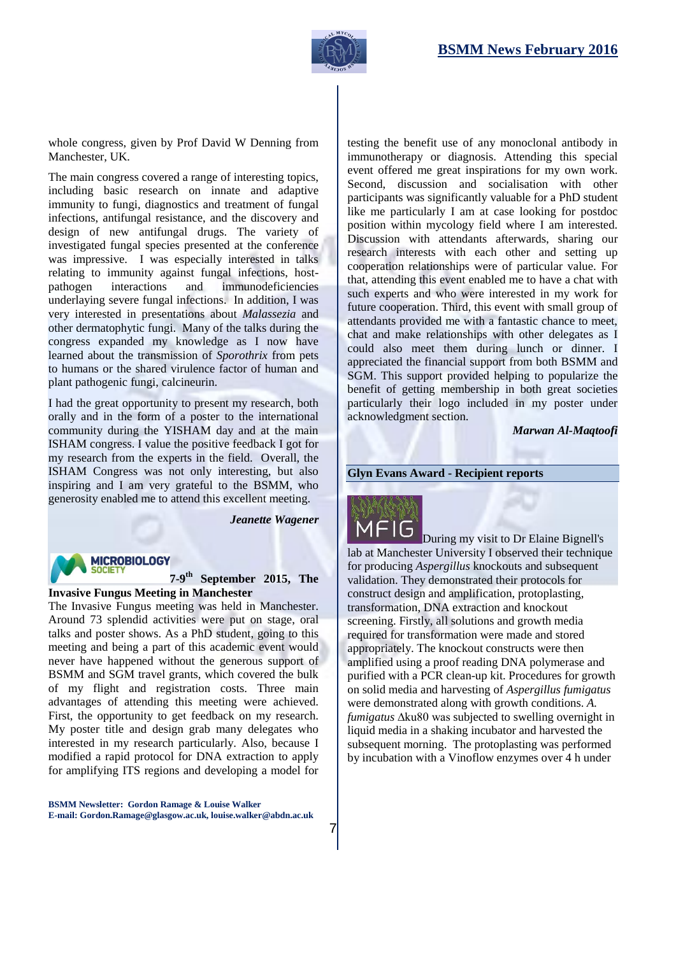

whole congress, given by Prof David W Denning from Manchester, UK.

The main congress covered a range of interesting topics, including basic research on innate and adaptive immunity to fungi, diagnostics and treatment of fungal infections, antifungal resistance, and the discovery and design of new antifungal drugs. The variety of investigated fungal species presented at the conference was impressive. I was especially interested in talks relating to immunity against fungal infections, hostpathogen interactions and immunodeficiencies underlaying severe fungal infections. In addition, I was very interested in presentations about *Malassezia* and other dermatophytic fungi. Many of the talks during the congress expanded my knowledge as I now have learned about the transmission of *Sporothrix* from pets to humans or the shared virulence factor of human and plant pathogenic fungi, calcineurin.

I had the great opportunity to present my research, both orally and in the form of a poster to the international community during the YISHAM day and at the main ISHAM congress. I value the positive feedback I got for my research from the experts in the field. Overall, the ISHAM Congress was not only interesting, but also inspiring and I am very grateful to the BSMM, who generosity enabled me to attend this excellent meeting.

*Jeanette Wagener*

# **MICROBIOLOGY**

#### **7-9 th September 2015, The Invasive Fungus Meeting in Manchester**

The Invasive Fungus meeting was held in Manchester. Around 73 splendid activities were put on stage, oral talks and poster shows. As a PhD student, going to this meeting and being a part of this academic event would never have happened without the generous support of BSMM and SGM travel grants, which covered the bulk of my flight and registration costs. Three main advantages of attending this meeting were achieved. First, the opportunity to get feedback on my research. My poster title and design grab many delegates who interested in my research particularly. Also, because I modified a rapid protocol for DNA extraction to apply for amplifying ITS regions and developing a model for

**BSMM Newsletter: Gordon Ramage & Louise Walker E-mail: Gordon.Ramage@glasgow.ac.uk, louise.walker@abdn.ac.uk**

testing the benefit use of any monoclonal antibody in immunotherapy or diagnosis. Attending this special event offered me great inspirations for my own work. Second, discussion and socialisation with other participants was significantly valuable for a PhD student like me particularly I am at case looking for postdoc position within mycology field where I am interested. Discussion with attendants afterwards, sharing our research interests with each other and setting up cooperation relationships were of particular value. For that, attending this event enabled me to have a chat with such experts and who were interested in my work for future cooperation. Third, this event with small group of attendants provided me with a fantastic chance to meet, chat and make relationships with other delegates as I could also meet them during lunch or dinner. I appreciated the financial support from both BSMM and SGM. This support provided helping to popularize the benefit of getting membership in both great societies particularly their logo included in my poster under acknowledgment section.

*Marwan Al-Maqtoofi* 

#### **Glyn Evans Award - Recipient reports**



During my visit to Dr Elaine Bignell's lab at Manchester University I observed their technique for producing *Aspergillus* knockouts and subsequent validation. They demonstrated their protocols for construct design and amplification, protoplasting, transformation, DNA extraction and knockout screening. Firstly, all solutions and growth media required for transformation were made and stored appropriately. The knockout constructs were then amplified using a proof reading DNA polymerase and purified with a PCR clean-up kit. Procedures for growth on solid media and harvesting of *Aspergillus fumigatus*  were demonstrated along with growth conditions. *A. fumigatus* ∆ku80 was subjected to swelling overnight in liquid media in a shaking incubator and harvested the subsequent morning. The protoplasting was performed by incubation with a Vinoflow enzymes over 4 h under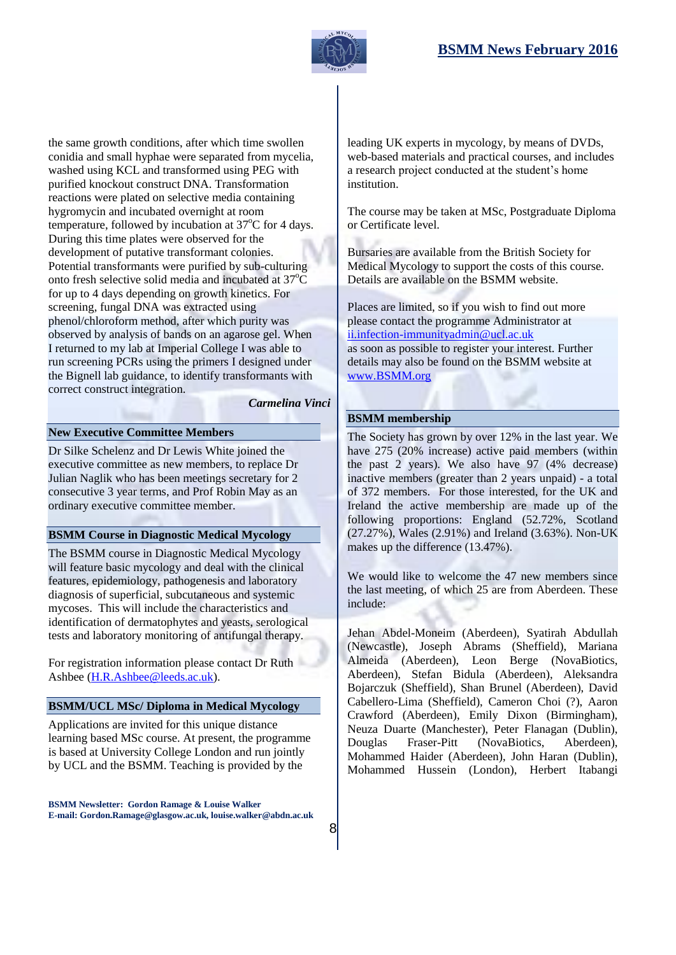

the same growth conditions, after which time swollen conidia and small hyphae were separated from mycelia, washed using KCL and transformed using PEG with purified knockout construct DNA. Transformation reactions were plated on selective media containing hygromycin and incubated overnight at room temperature, followed by incubation at  $37^{\circ}$ C for 4 days. During this time plates were observed for the development of putative transformant colonies. Potential transformants were purified by sub-culturing onto fresh selective solid media and incubated at  $37^{\circ}$ C for up to 4 days depending on growth kinetics. For screening, fungal DNA was extracted using phenol/chloroform method, after which purity was observed by analysis of bands on an agarose gel. When I returned to my lab at Imperial College I was able to run screening PCRs using the primers I designed under the Bignell lab guidance, to identify transformants with correct construct integration.

*Carmelina Vinci*

8

#### **New Executive Committee Members**

Dr Silke Schelenz and Dr Lewis White joined the executive committee as new members, to replace Dr Julian Naglik who has been meetings secretary for 2 consecutive 3 year terms, and Prof Robin May as an ordinary executive committee member.

#### **BSMM Course in [Diagnostic Medical](http://www.bsmm.org/file/148#overlay-context=node/43/edit) Mycology**

The BSMM course in [Diagnostic Medical](http://www.bsmm.org/file/148#overlay-context=node/43/edit) Mycology will feature basic mycology and deal with the clinical features, epidemiology, pathogenesis and laboratory diagnosis of superficial, subcutaneous and systemic mycoses. This will include the characteristics and identification of dermatophytes and yeasts, serological tests and laboratory monitoring of antifungal therapy.

For registration information please contact Dr Ruth Ashbee [\(H.R.Ashbee@leeds.ac.uk\)](mailto:H.R.Ashbee@leeds.ac.uk).

#### **BSMM/UCL MSc/ Diploma in Medical Mycology**

Applications are invited for this unique distance learning based MSc course. At present, the programme is based at University College London and run jointly by UCL and the BSMM. Teaching is provided by the

**BSMM Newsletter: Gordon Ramage & Louise Walker E-mail: Gordon.Ramage@glasgow.ac.uk, louise.walker@abdn.ac.uk** leading UK experts in mycology, by means of DVDs, web-based materials and practical courses, and includes a research project conducted at the student's home institution.

The course may be taken at MSc, Postgraduate Diploma or Certificate level.

Bursaries are available from the British Society for Medical Mycology to support the costs of this course. Details are available on the BSMM website.

Places are limited, so if you wish to find out more please contact the programme Administrator at ii.infection-immunityadmin@ucl.ac.uk as soon as possible to register your interest. Further details may also be found on the BSMM website at [www.BSMM.org](http://www.bsmm.org/)

#### **BSMM membership**

The Society has grown by over 12% in the last year. We have 275 (20% increase) active paid members (within the past 2 years). We also have 97 (4% decrease) inactive members (greater than 2 years unpaid) - a total of 372 members. For those interested, for the UK and Ireland the active membership are made up of the following proportions: England (52.72%, Scotland (27.27%), Wales (2.91%) and Ireland (3.63%). Non-UK makes up the difference (13.47%).

We would like to welcome the 47 new members since the last meeting, of which 25 are from Aberdeen. These include:

Jehan Abdel-Moneim (Aberdeen), Syatirah Abdullah (Newcastle), Joseph Abrams (Sheffield), Mariana Almeida (Aberdeen), Leon Berge (NovaBiotics, Aberdeen), Stefan Bidula (Aberdeen), Aleksandra Bojarczuk (Sheffield), Shan Brunel (Aberdeen), David Cabellero-Lima (Sheffield), Cameron Choi (?), Aaron Crawford (Aberdeen), Emily Dixon (Birmingham), Neuza Duarte (Manchester), Peter Flanagan (Dublin), Douglas Fraser-Pitt (NovaBiotics, Aberdeen), Mohammed Haider (Aberdeen), John Haran (Dublin), Mohammed Hussein (London), Herbert Itabangi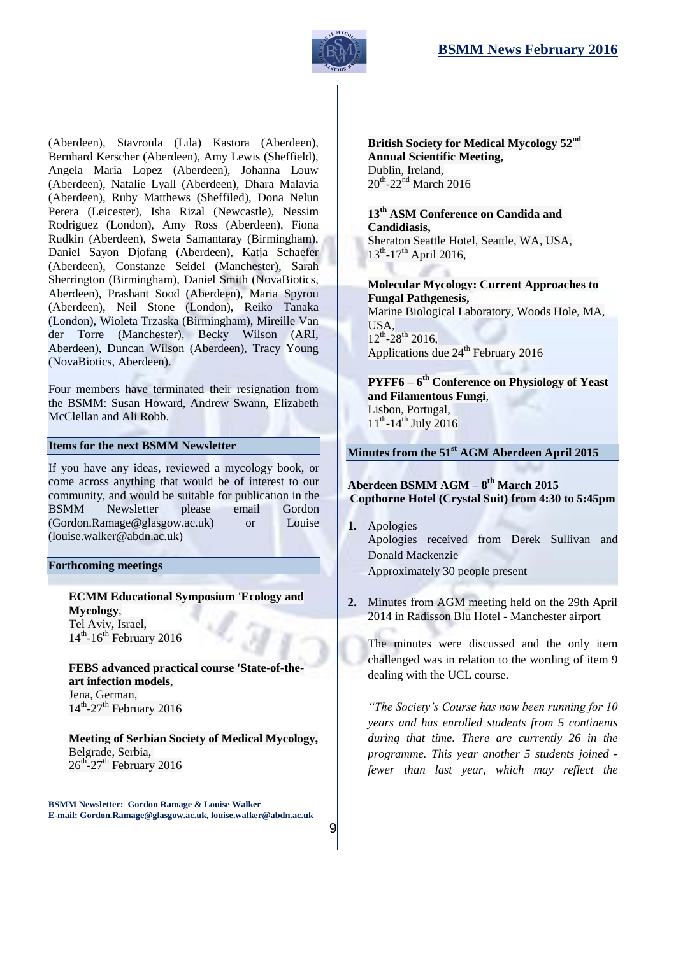

(Aberdeen), Stavroula (Lila) Kastora (Aberdeen), Bernhard Kerscher (Aberdeen), Amy Lewis (Sheffield), Angela Maria Lopez (Aberdeen), Johanna Louw (Aberdeen), Natalie Lyall (Aberdeen), Dhara Malavia (Aberdeen), Ruby Matthews (Sheffiled), Dona Nelun Perera (Leicester), Isha Rizal (Newcastle), Nessim Rodriguez (London), Amy Ross (Aberdeen), Fiona Rudkin (Aberdeen), Sweta Samantaray (Birmingham), Daniel Sayon Djofang (Aberdeen), Katja Schaefer (Aberdeen), Constanze Seidel (Manchester), Sarah Sherrington (Birmingham), Daniel Smith (NovaBiotics, Aberdeen), Prashant Sood (Aberdeen), Maria Spyrou (Aberdeen), Neil Stone (London), Reiko Tanaka (London), Wioleta Trzaska (Birmingham), Mireille Van der Torre (Manchester), Becky Wilson (ARI, Aberdeen), Duncan Wilson (Aberdeen), Tracy Young (NovaBiotics, Aberdeen).

Four members have terminated their resignation from the BSMM: Susan Howard, Andrew Swann, Elizabeth McClellan and Ali Robb.

#### **Items for the next BSMM Newsletter**

If you have any ideas, reviewed a mycology book, or come across anything that would be of interest to our community, and would be suitable for publication in the BSMM Newsletter please email Gordon (Gordon.Ramage@glasgow.ac.uk) or Louise (louise.walker@abdn.ac.uk)

#### **Forthcoming meetings**

**ECMM Educational Symposium 'Ecology and Mycology**, Tel Aviv, Israel, 14<sup>th</sup>-16<sup>th</sup> February 2016

**FEBS advanced practical course 'State-of-theart infection models**, Jena, German,  $14^{\text{th}}$ -27<sup>th</sup> February 2016

**Meeting of Serbian Society of Medical Mycology,**  Belgrade, Serbia,  $26^{\text{th}}$ -27<sup>th</sup> February 2016

**BSMM Newsletter: Gordon Ramage & Louise Walker E-mail: Gordon.Ramage@glasgow.ac.uk, louise.walker@abdn.ac.uk**

9

**British Society for Medical Mycology 52nd Annual Scientific Meeting,**  Dublin, Ireland,  $20^{th}$ -22<sup>nd</sup> March 2016

**13th ASM Conference on Candida and Candidiasis,**  Sheraton Seattle Hotel, Seattle, WA, USA,

 $13^{th}$ -17<sup>th</sup> April 2016,

**Molecular Mycology: Current Approaches to Fungal Pathgenesis,**  Marine Biological Laboratory, Woods Hole, MA, USA,  $12^{th}$ -28<sup>th</sup> 2016, Applications due  $24<sup>th</sup>$  February 2016

**PYFF6 – 6 th Conference on Physiology of Yeast and Filamentous Fungi**, Lisbon, Portugal,  $11^{th}$ -14<sup>th</sup> July 2016

**Minutes from the 51 st AGM Aberdeen April 2015**

#### **Aberdeen BSMM AGM – 8 th March 2015 Copthorne Hotel (Crystal Suit) from 4:30 to 5:45pm**

- **1.** Apologies Apologies received from Derek Sullivan and Donald Mackenzie Approximately 30 people present
- **2.** Minutes from AGM meeting held on the 29th April 2014 in Radisson Blu Hotel - Manchester airport

The minutes were discussed and the only item challenged was in relation to the wording of item 9 dealing with the UCL course.

*"The Society's Course has now been running for 10 years and has enrolled students from 5 continents during that time. There are currently 26 in the programme. This year another 5 students joined fewer than last year, which may reflect the*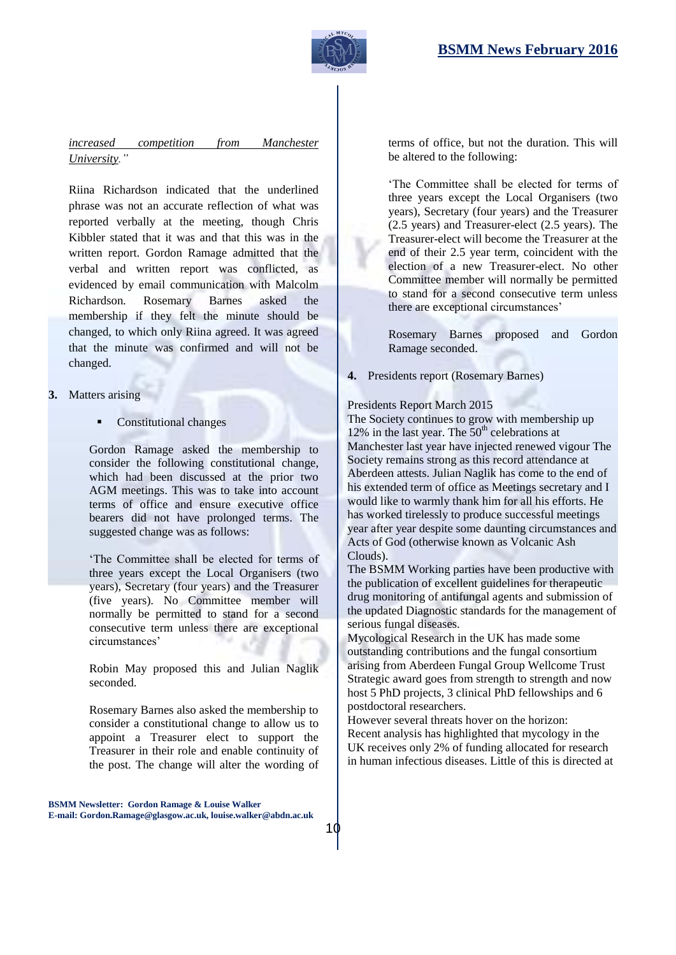

# *increased competition from Manchester University."*

Riina Richardson indicated that the underlined phrase was not an accurate reflection of what was reported verbally at the meeting, though Chris Kibbler stated that it was and that this was in the written report. Gordon Ramage admitted that the verbal and written report was conflicted, as evidenced by email communication with Malcolm Richardson. Rosemary Barnes asked the membership if they felt the minute should be changed, to which only Riina agreed. It was agreed that the minute was confirmed and will not be changed.

- **3.** Matters arising
	- Constitutional changes

Gordon Ramage asked the membership to consider the following constitutional change, which had been discussed at the prior two AGM meetings. This was to take into account terms of office and ensure executive office bearers did not have prolonged terms. The suggested change was as follows:

'The Committee shall be elected for terms of three years except the Local Organisers (two years), Secretary (four years) and the Treasurer (five years). No Committee member will normally be permitted to stand for a second consecutive term unless there are exceptional circumstances'

Robin May proposed this and Julian Naglik seconded.

Rosemary Barnes also asked the membership to consider a constitutional change to allow us to appoint a Treasurer elect to support the Treasurer in their role and enable continuity of the post. The change will alter the wording of

terms of office, but not the duration. This will be altered to the following:

'The Committee shall be elected for terms of three years except the Local Organisers (two years), Secretary (four years) and the Treasurer (2.5 years) and Treasurer-elect (2.5 years). The Treasurer-elect will become the Treasurer at the end of their 2.5 year term, coincident with the election of a new Treasurer-elect. No other Committee member will normally be permitted to stand for a second consecutive term unless there are exceptional circumstances'

Rosemary Barnes proposed and Gordon Ramage seconded.

**4.** Presidents report (Rosemary Barnes)

#### Presidents Report March 2015

The Society continues to grow with membership up 12% in the last year. The  $50<sup>th</sup>$  celebrations at Manchester last year have injected renewed vigour The Society remains strong as this record attendance at Aberdeen attests. Julian Naglik has come to the end of his extended term of office as Meetings secretary and I would like to warmly thank him for all his efforts. He has worked tirelessly to produce successful meetings year after year despite some daunting circumstances and Acts of God (otherwise known as Volcanic Ash Clouds).

The BSMM Working parties have been productive with the publication of excellent guidelines for therapeutic drug monitoring of antifungal agents and submission of the updated Diagnostic standards for the management of serious fungal diseases.

Mycological Research in the UK has made some outstanding contributions and the fungal consortium arising from Aberdeen Fungal Group Wellcome Trust Strategic award goes from strength to strength and now host 5 PhD projects, 3 clinical PhD fellowships and 6 postdoctoral researchers.

However several threats hover on the horizon: Recent analysis has highlighted that mycology in the UK receives only 2% of funding allocated for research in human infectious diseases. Little of this is directed at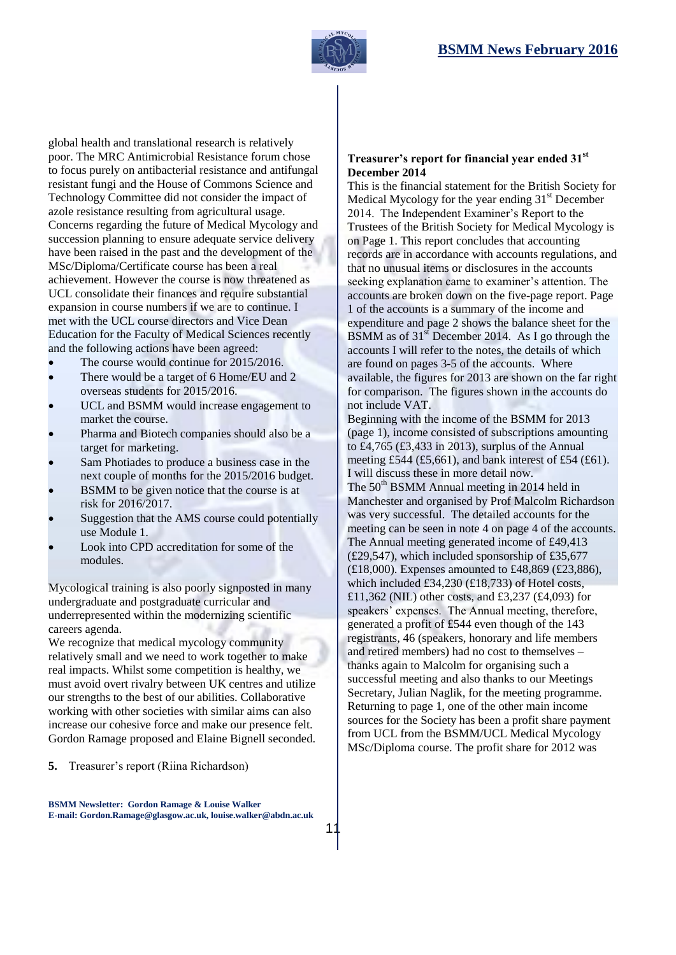

global health and translational research is relatively poor. The MRC Antimicrobial Resistance forum chose to focus purely on antibacterial resistance and antifungal resistant fungi and the House of Commons Science and Technology Committee did not consider the impact of azole resistance resulting from agricultural usage. Concerns regarding the future of Medical Mycology and succession planning to ensure adequate service delivery have been raised in the past and the development of the MSc/Diploma/Certificate course has been a real achievement. However the course is now threatened as UCL consolidate their finances and require substantial expansion in course numbers if we are to continue. I met with the UCL course directors and Vice Dean Education for the Faculty of Medical Sciences recently and the following actions have been agreed:

- The course would continue for 2015/2016.
- There would be a target of 6 Home/EU and 2 overseas students for 2015/2016.
- UCL and BSMM would increase engagement to market the course.
- Pharma and Biotech companies should also be a target for marketing.
- Sam Photiades to produce a business case in the next couple of months for the 2015/2016 budget.
- BSMM to be given notice that the course is at risk for 2016/2017.
- Suggestion that the AMS course could potentially use Module 1.
- Look into CPD accreditation for some of the modules.

Mycological training is also poorly signposted in many undergraduate and postgraduate curricular and underrepresented within the modernizing scientific careers agenda.

We recognize that medical mycology community relatively small and we need to work together to make real impacts. Whilst some competition is healthy, we must avoid overt rivalry between UK centres and utilize our strengths to the best of our abilities. Collaborative working with other societies with similar aims can also increase our cohesive force and make our presence felt. Gordon Ramage proposed and Elaine Bignell seconded.

#### **5.** Treasurer's report (Riina Richardson)

**BSMM Newsletter: Gordon Ramage & Louise Walker E-mail: Gordon.Ramage@glasgow.ac.uk, louise.walker@abdn.ac.uk**

#### **Treasurer's report for financial year ended 31st December 2014**

This is the financial statement for the British Society for Medical Mycology for the year ending  $31<sup>st</sup>$  December 2014. The Independent Examiner's Report to the Trustees of the British Society for Medical Mycology is on Page 1. This report concludes that accounting records are in accordance with accounts regulations, and that no unusual items or disclosures in the accounts seeking explanation came to examiner's attention. The accounts are broken down on the five-page report. Page 1 of the accounts is a summary of the income and expenditure and page 2 shows the balance sheet for the BSMM as of  $31<sup>st</sup>$  December 2014. As I go through the accounts I will refer to the notes, the details of which are found on pages 3-5 of the accounts. Where available, the figures for 2013 are shown on the far right for comparison. The figures shown in the accounts do not include VAT.

Beginning with the income of the BSMM for 2013 (page 1), income consisted of subscriptions amounting to £4,765 (£3,433 in 2013), surplus of the Annual meeting £544 (£5,661), and bank interest of £54 (£61). I will discuss these in more detail now. The 50<sup>th</sup> BSMM Annual meeting in 2014 held in Manchester and organised by Prof Malcolm Richardson was very successful. The detailed accounts for the meeting can be seen in note 4 on page 4 of the accounts. The Annual meeting generated income of £49,413 (£29,547), which included sponsorship of £35,677 (£18,000). Expenses amounted to £48,869 (£23,886), which included £34,230 (£18,733) of Hotel costs, £11,362 (NIL) other costs, and £3,237 (£4,093) for speakers' expenses. The Annual meeting, therefore, generated a profit of £544 even though of the 143 registrants, 46 (speakers, honorary and life members and retired members) had no cost to themselves – thanks again to Malcolm for organising such a successful meeting and also thanks to our Meetings Secretary, Julian Naglik, for the meeting programme. Returning to page 1, one of the other main income sources for the Society has been a profit share payment from UCL from the BSMM/UCL Medical Mycology MSc/Diploma course. The profit share for 2012 was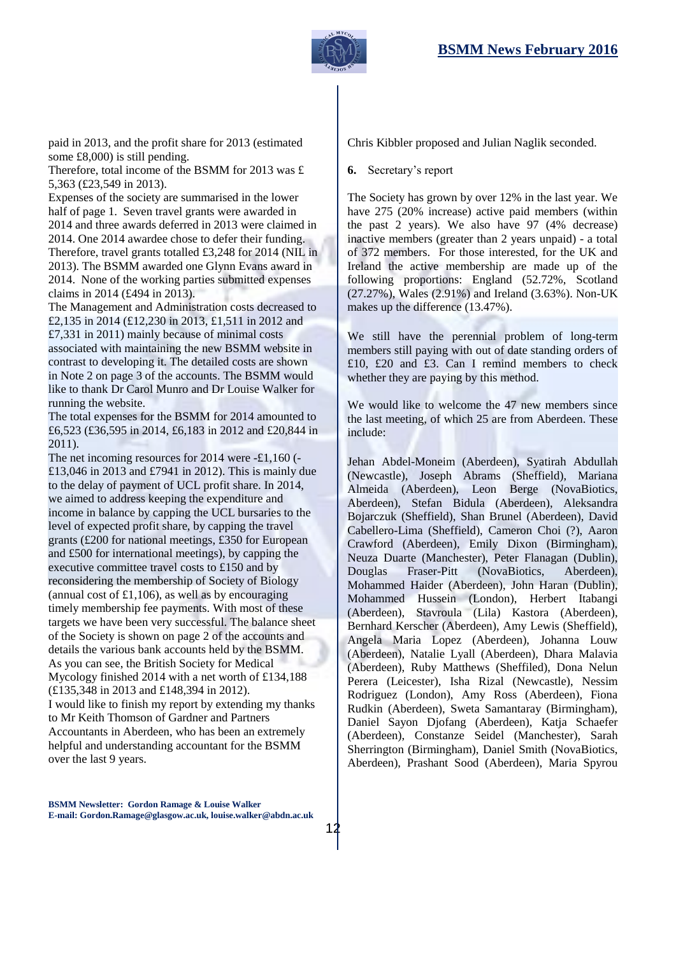

paid in 2013, and the profit share for 2013 (estimated some £8,000) is still pending.

Therefore, total income of the BSMM for 2013 was £ 5,363 (£23,549 in 2013).

Expenses of the society are summarised in the lower half of page 1. Seven travel grants were awarded in 2014 and three awards deferred in 2013 were claimed in 2014. One 2014 awardee chose to defer their funding. Therefore, travel grants totalled £3,248 for 2014 (NIL in 2013). The BSMM awarded one Glynn Evans award in 2014. None of the working parties submitted expenses claims in 2014 (£494 in 2013).

The Management and Administration costs decreased to £2,135 in 2014 (£12,230 in 2013, £1,511 in 2012 and £7,331 in 2011) mainly because of minimal costs associated with maintaining the new BSMM website in contrast to developing it. The detailed costs are shown in Note 2 on page 3 of the accounts. The BSMM would like to thank Dr Carol Munro and Dr Louise Walker for running the website.

The total expenses for the BSMM for 2014 amounted to £6,523 (£36,595 in 2014, £6,183 in 2012 and £20,844 in 2011).

The net incoming resources for 2014 were -£1,160 (- £13,046 in 2013 and £7941 in 2012). This is mainly due to the delay of payment of UCL profit share. In 2014, we aimed to address keeping the expenditure and income in balance by capping the UCL bursaries to the level of expected profit share, by capping the travel grants (£200 for national meetings, £350 for European and £500 for international meetings), by capping the executive committee travel costs to £150 and by reconsidering the membership of Society of Biology (annual cost of  $\pounds1,106$ ), as well as by encouraging timely membership fee payments. With most of these targets we have been very successful. The balance sheet of the Society is shown on page 2 of the accounts and details the various bank accounts held by the BSMM. As you can see, the British Society for Medical Mycology finished 2014 with a net worth of £134,188 (£135,348 in 2013 and £148,394 in 2012). I would like to finish my report by extending my thanks to Mr Keith Thomson of Gardner and Partners Accountants in Aberdeen, who has been an extremely helpful and understanding accountant for the BSMM over the last 9 years.

Chris Kibbler proposed and Julian Naglik seconded.

**6.** Secretary's report

The Society has grown by over 12% in the last year. We have 275 (20% increase) active paid members (within the past 2 years). We also have 97 (4% decrease) inactive members (greater than 2 years unpaid) - a total of 372 members. For those interested, for the UK and Ireland the active membership are made up of the following proportions: England (52.72%, Scotland (27.27%), Wales (2.91%) and Ireland (3.63%). Non-UK makes up the difference (13.47%).

We still have the perennial problem of long-term members still paying with out of date standing orders of £10, £20 and £3. Can I remind members to check whether they are paying by this method.

We would like to welcome the 47 new members since the last meeting, of which 25 are from Aberdeen. These include:

Jehan Abdel-Moneim (Aberdeen), Syatirah Abdullah (Newcastle), Joseph Abrams (Sheffield), Mariana Almeida (Aberdeen), Leon Berge (NovaBiotics, Aberdeen), Stefan Bidula (Aberdeen), Aleksandra Bojarczuk (Sheffield), Shan Brunel (Aberdeen), David Cabellero-Lima (Sheffield), Cameron Choi (?), Aaron Crawford (Aberdeen), Emily Dixon (Birmingham), Neuza Duarte (Manchester), Peter Flanagan (Dublin), Douglas Fraser-Pitt (NovaBiotics, Aberdeen), Mohammed Haider (Aberdeen), John Haran (Dublin), Mohammed Hussein (London), Herbert Itabangi (Aberdeen), Stavroula (Lila) Kastora (Aberdeen), Bernhard Kerscher (Aberdeen), Amy Lewis (Sheffield), Angela Maria Lopez (Aberdeen), Johanna Louw (Aberdeen), Natalie Lyall (Aberdeen), Dhara Malavia (Aberdeen), Ruby Matthews (Sheffiled), Dona Nelun Perera (Leicester), Isha Rizal (Newcastle), Nessim Rodriguez (London), Amy Ross (Aberdeen), Fiona Rudkin (Aberdeen), Sweta Samantaray (Birmingham), Daniel Sayon Djofang (Aberdeen), Katja Schaefer (Aberdeen), Constanze Seidel (Manchester), Sarah Sherrington (Birmingham), Daniel Smith (NovaBiotics, Aberdeen), Prashant Sood (Aberdeen), Maria Spyrou

**BSMM Newsletter: Gordon Ramage & Louise Walker E-mail: Gordon.Ramage@glasgow.ac.uk, louise.walker@abdn.ac.uk**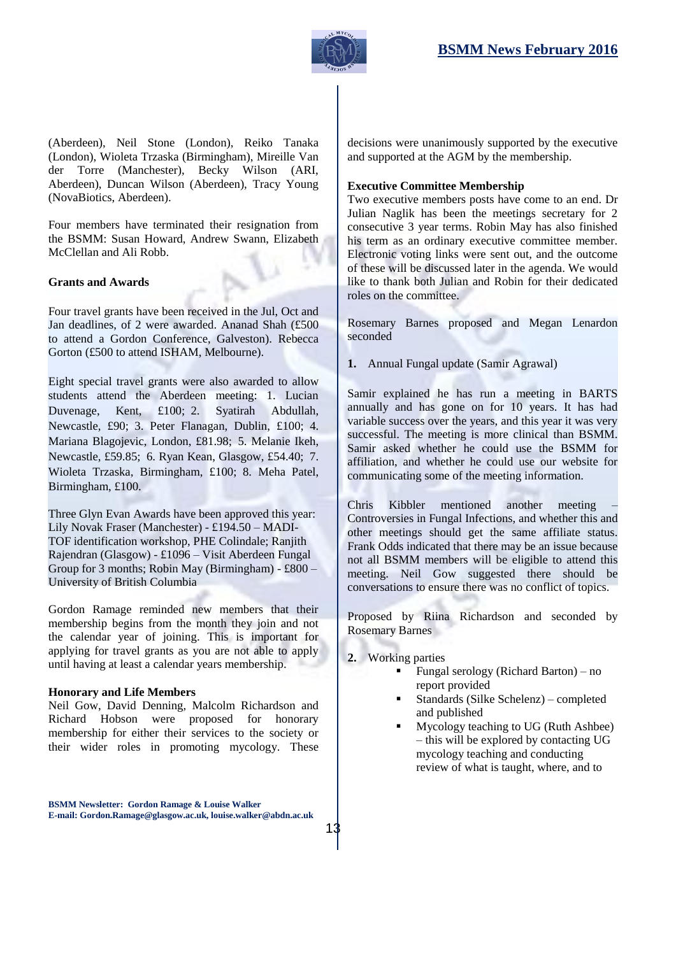

(Aberdeen), Neil Stone (London), Reiko Tanaka (London), Wioleta Trzaska (Birmingham), Mireille Van der Torre (Manchester), Becky Wilson (ARI, Aberdeen), Duncan Wilson (Aberdeen), Tracy Young (NovaBiotics, Aberdeen).

Four members have terminated their resignation from the BSMM: Susan Howard, Andrew Swann, Elizabeth McClellan and Ali Robb.

#### **Grants and Awards**

Four travel grants have been received in the Jul, Oct and Jan deadlines, of 2 were awarded. Ananad Shah (£500 to attend a Gordon Conference, Galveston). Rebecca Gorton (£500 to attend ISHAM, Melbourne).

Eight special travel grants were also awarded to allow students attend the Aberdeen meeting: 1. Lucian Duvenage, Kent, £100; 2. Syatirah Abdullah, Newcastle, £90; 3. Peter Flanagan, Dublin, £100; 4. Mariana Blagojevic, London, £81.98; 5. Melanie Ikeh, Newcastle, £59.85; 6. Ryan Kean, Glasgow, £54.40; 7. Wioleta Trzaska, Birmingham, £100; 8. Meha Patel, Birmingham, £100.

Three Glyn Evan Awards have been approved this year: Lily Novak Fraser (Manchester) - £194.50 – MADI-TOF identification workshop, PHE Colindale; Ranjith Rajendran (Glasgow) - £1096 – Visit Aberdeen Fungal Group for 3 months; Robin May (Birmingham) - £800 – University of British Columbia

Gordon Ramage reminded new members that their membership begins from the month they join and not the calendar year of joining. This is important for applying for travel grants as you are not able to apply until having at least a calendar years membership.

#### **Honorary and Life Members**

Neil Gow, David Denning, Malcolm Richardson and Richard Hobson were proposed for honorary membership for either their services to the society or their wider roles in promoting mycology. These

decisions were unanimously supported by the executive and supported at the AGM by the membership.

#### **Executive Committee Membership**

Two executive members posts have come to an end. Dr Julian Naglik has been the meetings secretary for 2 consecutive 3 year terms. Robin May has also finished his term as an ordinary executive committee member. Electronic voting links were sent out, and the outcome of these will be discussed later in the agenda. We would like to thank both Julian and Robin for their dedicated roles on the committee.

Rosemary Barnes proposed and Megan Lenardon seconded

**1.** Annual Fungal update (Samir Agrawal)

Samir explained he has run a meeting in BARTS annually and has gone on for 10 years. It has had variable success over the years, and this year it was very successful. The meeting is more clinical than BSMM. Samir asked whether he could use the BSMM for affiliation, and whether he could use our website for communicating some of the meeting information.

Chris Kibbler mentioned another meeting – Controversies in Fungal Infections, and whether this and other meetings should get the same affiliate status. Frank Odds indicated that there may be an issue because not all BSMM members will be eligible to attend this meeting. Neil Gow suggested there should be conversations to ensure there was no conflict of topics.

Proposed by Riina Richardson and seconded by Rosemary Barnes

**2.** Working parties

- Fungal serology (Richard Barton) no report provided
- Standards (Silke Schelenz) completed and published
- Mycology teaching to UG (Ruth Ashbee) – this will be explored by contacting UG mycology teaching and conducting review of what is taught, where, and to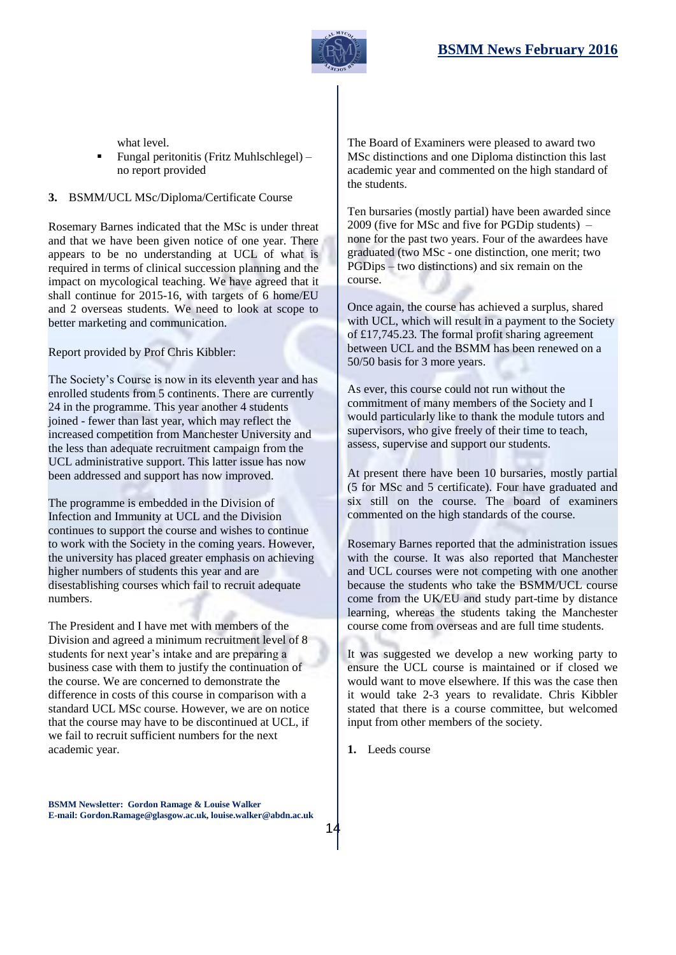

what level.

 Fungal peritonitis (Fritz Muhlschlegel) – no report provided

#### **3.** BSMM/UCL MSc/Diploma/Certificate Course

Rosemary Barnes indicated that the MSc is under threat and that we have been given notice of one year. There appears to be no understanding at UCL of what is required in terms of clinical succession planning and the impact on mycological teaching. We have agreed that it shall continue for 2015-16, with targets of 6 home/EU and 2 overseas students. We need to look at scope to better marketing and communication.

Report provided by Prof Chris Kibbler:

The Society's Course is now in its eleventh year and has enrolled students from 5 continents. There are currently 24 in the programme. This year another 4 students joined - fewer than last year, which may reflect the increased competition from Manchester University and the less than adequate recruitment campaign from the UCL administrative support. This latter issue has now been addressed and support has now improved.

The programme is embedded in the Division of Infection and Immunity at UCL and the Division continues to support the course and wishes to continue to work with the Society in the coming years. However, the university has placed greater emphasis on achieving higher numbers of students this year and are disestablishing courses which fail to recruit adequate numbers.

The President and I have met with members of the Division and agreed a minimum recruitment level of 8 students for next year's intake and are preparing a business case with them to justify the continuation of the course. We are concerned to demonstrate the difference in costs of this course in comparison with a standard UCL MSc course. However, we are on notice that the course may have to be discontinued at UCL, if we fail to recruit sufficient numbers for the next academic year.

The Board of Examiners were pleased to award two MSc distinctions and one Diploma distinction this last academic year and commented on the high standard of the students.

Ten bursaries (mostly partial) have been awarded since 2009 (five for MSc and five for PGDip students) – none for the past two years. Four of the awardees have graduated (two MSc - one distinction, one merit; two PGDips – two distinctions) and six remain on the course.

Once again, the course has achieved a surplus, shared with UCL, which will result in a payment to the Society of £17,745.23. The formal profit sharing agreement between UCL and the BSMM has been renewed on a 50/50 basis for 3 more years.

As ever, this course could not run without the commitment of many members of the Society and I would particularly like to thank the module tutors and supervisors, who give freely of their time to teach, assess, supervise and support our students.

At present there have been 10 bursaries, mostly partial (5 for MSc and 5 certificate). Four have graduated and six still on the course. The board of examiners commented on the high standards of the course.

Rosemary Barnes reported that the administration issues with the course. It was also reported that Manchester and UCL courses were not competing with one another because the students who take the BSMM/UCL course come from the UK/EU and study part-time by distance learning, whereas the students taking the Manchester course come from overseas and are full time students.

It was suggested we develop a new working party to ensure the UCL course is maintained or if closed we would want to move elsewhere. If this was the case then it would take 2-3 years to revalidate. Chris Kibbler stated that there is a course committee, but welcomed input from other members of the society.

**1.** Leeds course

**BSMM Newsletter: Gordon Ramage & Louise Walker E-mail: Gordon.Ramage@glasgow.ac.uk, louise.walker@abdn.ac.uk**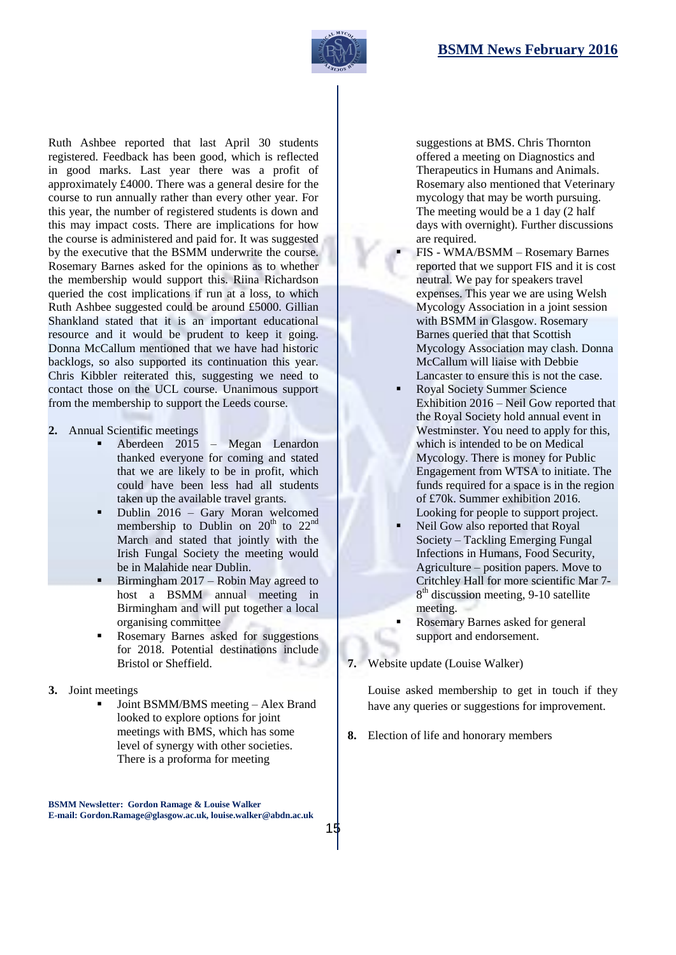

Ruth Ashbee reported that last April 30 students registered. Feedback has been good, which is reflected in good marks. Last year there was a profit of approximately £4000. There was a general desire for the course to run annually rather than every other year. For this year, the number of registered students is down and this may impact costs. There are implications for how the course is administered and paid for. It was suggested by the executive that the BSMM underwrite the course. Rosemary Barnes asked for the opinions as to whether the membership would support this. Riina Richardson queried the cost implications if run at a loss, to which Ruth Ashbee suggested could be around £5000. Gillian Shankland stated that it is an important educational resource and it would be prudent to keep it going. Donna McCallum mentioned that we have had historic backlogs, so also supported its continuation this year. Chris Kibbler reiterated this, suggesting we need to contact those on the UCL course. Unanimous support from the membership to support the Leeds course.

- **2.** Annual Scientific meetings
	- Aberdeen 2015 Megan Lenardon thanked everyone for coming and stated that we are likely to be in profit, which could have been less had all students taken up the available travel grants.
	- Dublin 2016 Gary Moran welcomed membership to Dublin on  $20<sup>th</sup>$  to  $22<sup>nd</sup>$ March and stated that jointly with the Irish Fungal Society the meeting would be in Malahide near Dublin.
	- Birmingham 2017 Robin May agreed to host a BSMM annual meeting in Birmingham and will put together a local organising committee
	- Rosemary Barnes asked for suggestions for 2018. Potential destinations include Bristol or Sheffield.
- **3.** Joint meetings
	- Joint BSMM/BMS meeting Alex Brand looked to explore options for joint meetings with BMS, which has some level of synergy with other societies. There is a proforma for meeting

**BSMM Newsletter: Gordon Ramage & Louise Walker E-mail: Gordon.Ramage@glasgow.ac.uk, louise.walker@abdn.ac.uk**

15

suggestions at BMS. Chris Thornton offered a meeting on Diagnostics and Therapeutics in Humans and Animals. Rosemary also mentioned that Veterinary mycology that may be worth pursuing. The meeting would be a 1 day (2 half days with overnight). Further discussions are required.

- FIS WMA/BSMM Rosemary Barnes reported that we support FIS and it is cost neutral. We pay for speakers travel expenses. This year we are using Welsh Mycology Association in a joint session with BSMM in Glasgow. Rosemary Barnes queried that that Scottish Mycology Association may clash. Donna McCallum will liaise with Debbie Lancaster to ensure this is not the case.
- Royal Society Summer Science Exhibition 2016 – Neil Gow reported that the Royal Society hold annual event in Westminster. You need to apply for this, which is intended to be on Medical Mycology. There is money for Public Engagement from WTSA to initiate. The funds required for a space is in the region of £70k. Summer exhibition 2016. Looking for people to support project.
- Neil Gow also reported that Royal Society – Tackling Emerging Fungal Infections in Humans, Food Security, Agriculture – position papers. Move to Critchley Hall for more scientific Mar 7- 8<sup>th</sup> discussion meeting, 9-10 satellite meeting.
- Rosemary Barnes asked for general support and endorsement.
- **7.** Website update (Louise Walker)

Louise asked membership to get in touch if they have any queries or suggestions for improvement.

**8.** Election of life and honorary members